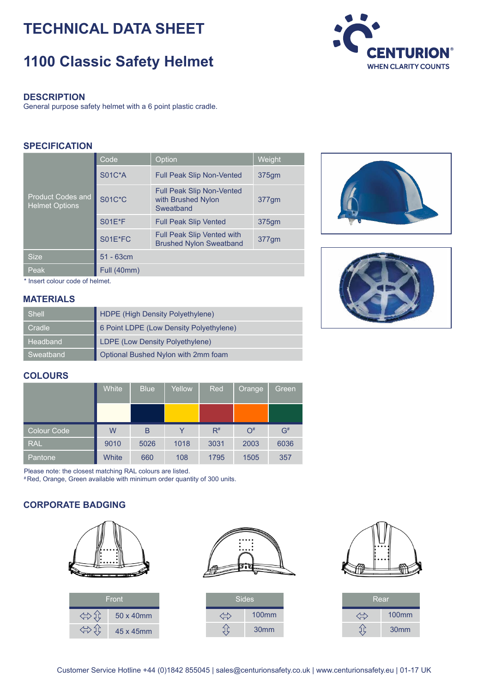# **TECHNICAL DATA SHEET**

# **1100 Classic Safety Helmet**



General purpose safety helmet with a 6 point plastic cradle.

#### **SPECIFICATION**

| <b>Product Codes and</b><br><b>Helmet Options</b> | Code          | Option                                                              | Weight |  |  |  |
|---------------------------------------------------|---------------|---------------------------------------------------------------------|--------|--|--|--|
|                                                   | <b>S01C*A</b> | <b>Full Peak Slip Non-Vented</b>                                    | 375gm  |  |  |  |
|                                                   | <b>S01C*C</b> | <b>Full Peak Slip Non-Vented</b><br>with Brushed Nylon<br>Sweatband | 377gm  |  |  |  |
|                                                   | <b>S01E*F</b> | <b>Full Peak Slip Vented</b>                                        | 375gm  |  |  |  |
|                                                   | S01E*FC       | <b>Full Peak Slip Vented with</b><br><b>Brushed Nylon Sweatband</b> | 377gm  |  |  |  |
| <b>Size</b>                                       | $51 - 63cm$   |                                                                     |        |  |  |  |
| Peak                                              | Full (40mm)   |                                                                     |        |  |  |  |



\* Insert colour code of helmet.

#### **MATERIALS**

| <b>Shell</b> | HDPE (High Density Polyethylene)        |
|--------------|-----------------------------------------|
| Cradle       | 6 Point LDPE (Low Density Polyethylene) |
| Headband     | LDPE (Low Density Polyethylene)         |
| Sweatband    | Optional Bushed Nylon with 2mm foam     |

### **COLOURS**

|             | White | <b>Blue</b> | Yellow | Red   | <b>Orange</b> | Green |
|-------------|-------|-------------|--------|-------|---------------|-------|
|             |       |             |        |       |               |       |
| Colour Code | W     | B           |        | $R^*$ | $O^*$         | $G^*$ |
| <b>RAL</b>  | 9010  | 5026        | 1018   | 3031  | 2003          | 6036  |
| Pantone     | White | 660         | 108    | 1795  | 1505          | 357   |

Please note: the closest matching RAL colours are listed.

# Red, Orange, Green available with minimum order quantity of 300 units.

#### **CORPORATE BADGING**





| Sides |                  |
|-------|------------------|
|       | <b>100mm</b>     |
|       | 30 <sub>mm</sub> |



| Rear |                   |  |  |  |  |
|------|-------------------|--|--|--|--|
|      | 100 <sub>mm</sub> |  |  |  |  |
|      | 30 <sub>mm</sub>  |  |  |  |  |